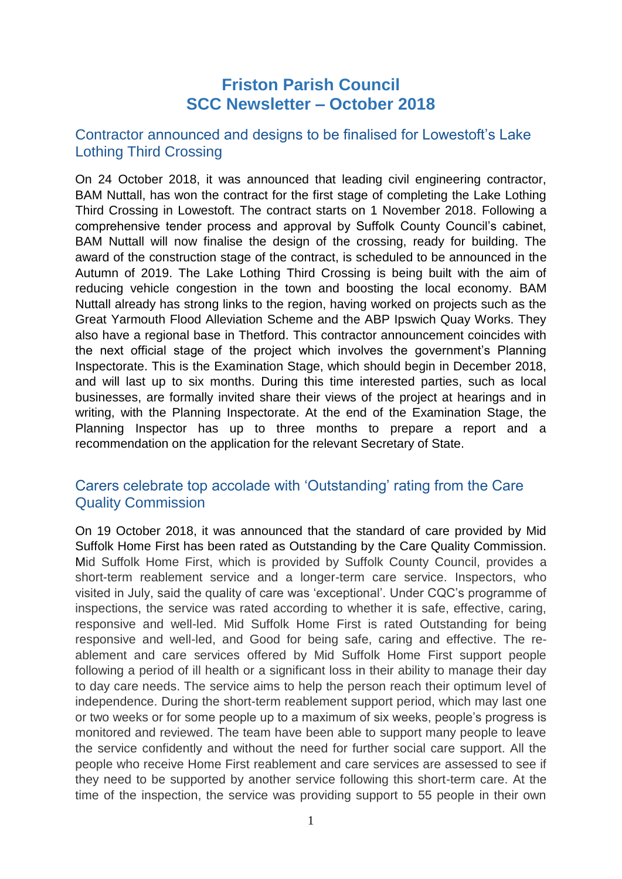# **Friston Parish Council SCC Newsletter – October 2018**

## Contractor announced and designs to be finalised for Lowestoft's Lake Lothing Third Crossing

On 24 October 2018, it was announced that leading civil engineering contractor, BAM Nuttall, has won the contract for the first stage of completing the Lake Lothing Third Crossing in Lowestoft. The contract starts on 1 November 2018. Following a comprehensive tender process and approval by Suffolk County Council's cabinet, BAM Nuttall will now finalise the design of the crossing, ready for building. The award of the construction stage of the contract, is scheduled to be announced in the Autumn of 2019. The Lake Lothing Third Crossing is being built with the aim of reducing vehicle congestion in the town and boosting the local economy. BAM Nuttall already has strong links to the region, having worked on projects such as the Great Yarmouth Flood Alleviation Scheme and the ABP Ipswich Quay Works. They also have a regional base in Thetford. This contractor announcement coincides with the next official stage of the project which involves the government's Planning Inspectorate. This is the Examination Stage, which should begin in December 2018, and will last up to six months. During this time interested parties, such as local businesses, are formally invited share their views of the project at hearings and in writing, with the Planning Inspectorate. At the end of the Examination Stage, the Planning Inspector has up to three months to prepare a report and a recommendation on the application for the relevant Secretary of State.

## Carers celebrate top accolade with 'Outstanding' rating from the Care Quality Commission

On 19 October 2018, it was announced that the standard of care provided by Mid Suffolk Home First has been rated as Outstanding by the Care Quality Commission. Mid Suffolk Home First, which is provided by Suffolk County Council, provides a short-term reablement service and a longer-term care service. Inspectors, who visited in July, said the quality of care was 'exceptional'. Under CQC's programme of inspections, the service was rated according to whether it is safe, effective, caring, responsive and well-led. Mid Suffolk Home First is rated Outstanding for being responsive and well-led, and Good for being safe, caring and effective. The reablement and care services offered by Mid Suffolk Home First support people following a period of ill health or a significant loss in their ability to manage their day to day care needs. The service aims to help the person reach their optimum level of independence. During the short-term reablement support period, which may last one or two weeks or for some people up to a maximum of six weeks, people's progress is monitored and reviewed. The team have been able to support many people to leave the service confidently and without the need for further social care support. All the people who receive Home First reablement and care services are assessed to see if they need to be supported by another service following this short-term care. At the time of the inspection, the service was providing support to 55 people in their own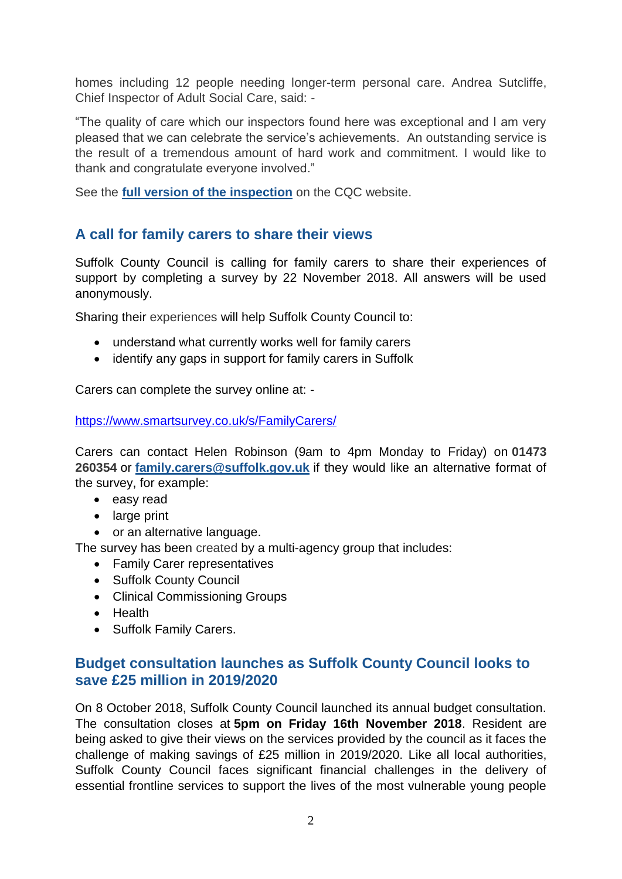homes including 12 people needing longer-term personal care. Andrea Sutcliffe, Chief Inspector of Adult Social Care, said: -

"The quality of care which our inspectors found here was exceptional and I am very pleased that we can celebrate the service's achievements. An outstanding service is the result of a tremendous amount of hard work and commitment. I would like to thank and congratulate everyone involved."

See the **[full version of the inspection](https://www.cqc.org.uk/location/1-145694727)** on the CQC website.

## **A call for family carers to share their views**

Suffolk County Council is calling for family carers to share their experiences of support by completing a survey by 22 November 2018. All answers will be used anonymously.

Sharing their experiences will help Suffolk County Council to:

- understand what currently works well for family carers
- identify any gaps in support for family carers in Suffolk

Carers can complete the survey online at: -

<https://www.smartsurvey.co.uk/s/FamilyCarers/>

Carers can contact Helen Robinson (9am to 4pm Monday to Friday) on **01473 260354** or **[family.carers@suffolk.gov.uk](mailto:family.carers@suffolk.gov.uk)** if they would like an alternative format of the survey, for example:

- easy read
- large print
- or an alternative language.

The survey has been created by a multi-agency group that includes:

- Family Carer representatives
- Suffolk County Council
- Clinical Commissioning Groups
- Health
- Suffolk Family Carers.

## **Budget consultation launches as Suffolk County Council looks to save £25 million in 2019/2020**

On 8 October 2018, Suffolk County Council launched its annual budget consultation. The consultation closes at **5pm on Friday 16th November 2018**. Resident are being asked to give their views on the services provided by the council as it faces the challenge of making savings of £25 million in 2019/2020. Like all local authorities, Suffolk County Council faces significant financial challenges in the delivery of essential frontline services to support the lives of the most vulnerable young people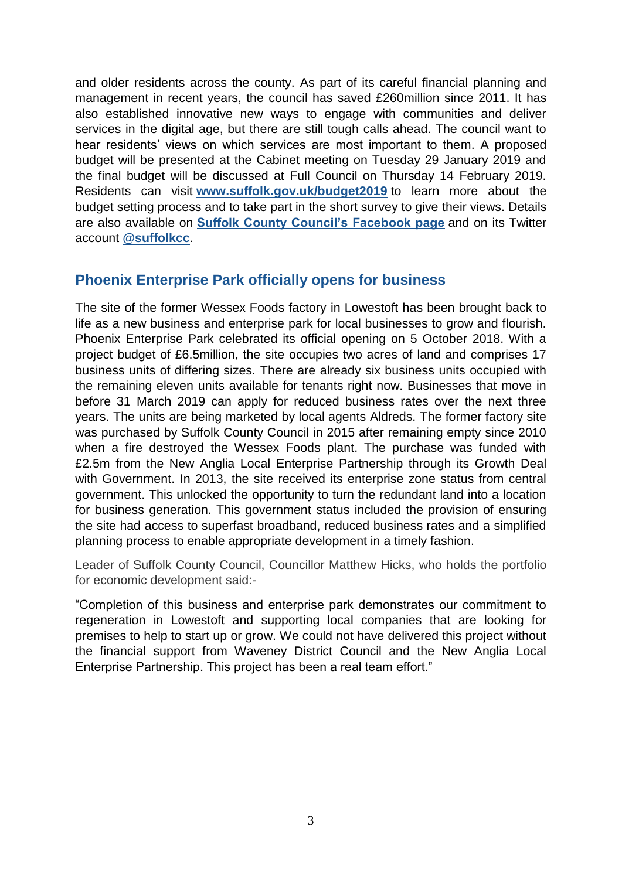and older residents across the county. As part of its careful financial planning and management in recent years, the council has saved £260million since 2011. It has also established innovative new ways to engage with communities and deliver services in the digital age, but there are still tough calls ahead. The council want to hear residents' views on which services are most important to them. A proposed budget will be presented at the Cabinet meeting on Tuesday 29 January 2019 and the final budget will be discussed at Full Council on Thursday 14 February 2019. Residents can visit **[www.suffolk.gov.uk/budget2019](https://www.suffolk.gov.uk/council-and-democracy/consultations-petitions-and-elections/consultations/a-tough-call-to-make-budget-20192020/)** to learn more about the budget setting process and to take part in the short survey to give their views. Details are also available on **[Suffolk County Council's Facebook page](https://www.facebook.com/pages/Suffolk-County-Council/158525844191005)** and on its Twitter account **[@suffolkcc](https://twitter.com/suffolkcc)**.

## **Phoenix Enterprise Park officially opens for business**

The site of the former Wessex Foods factory in Lowestoft has been brought back to life as a new business and enterprise park for local businesses to grow and flourish. Phoenix Enterprise Park celebrated its official opening on 5 October 2018. With a project budget of £6.5million, the site occupies two acres of land and comprises 17 business units of differing sizes. There are already six business units occupied with the remaining eleven units available for tenants right now. Businesses that move in before 31 March 2019 can apply for reduced business rates over the next three years. The units are being marketed by local agents Aldreds. The former factory site was purchased by Suffolk County Council in 2015 after remaining empty since 2010 when a fire destroyed the Wessex Foods plant. The purchase was funded with £2.5m from the New Anglia Local Enterprise Partnership through its Growth Deal with Government. In 2013, the site received its enterprise zone status from central government. This unlocked the opportunity to turn the redundant land into a location for business generation. This government status included the provision of ensuring the site had access to superfast broadband, reduced business rates and a simplified planning process to enable appropriate development in a timely fashion.

Leader of Suffolk County Council, Councillor Matthew Hicks, who holds the portfolio for economic development said:-

"Completion of this business and enterprise park demonstrates our commitment to regeneration in Lowestoft and supporting local companies that are looking for premises to help to start up or grow. We could not have delivered this project without the financial support from Waveney District Council and the New Anglia Local Enterprise Partnership. This project has been a real team effort."